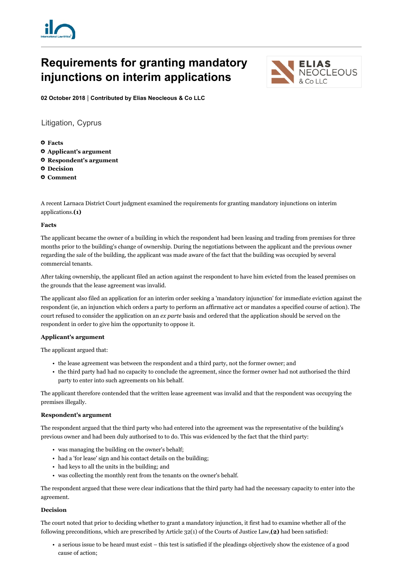

# Requirements for granting mandatory injunctions on interim applications



02 October 2018 | Contributed by Elias Neocleous & Co LLC

Litigation, Cyprus

- **O** Facts Applicant's argument
- Respondent's argument
- **<sup>O</sup>** Decision
- Comment

A recent Larnaca District Court judgment examined the requirements for granting mandatory injunctions on interim applications.(1)

### Facts

The applicant became the owner of a building in which the respondent had been leasing and trading from premises for three months prior to the building's change of ownership. During the negotiations between the applicant and the previous owner regarding the sale of the building, the applicant was made aware of the fact that the building was occupied by several commercial tenants.

After taking ownership, the applicant filed an action against the respondent to have him evicted from the leased premises on the grounds that the lease agreement was invalid.

The applicant also filed an application for an interim order seeking a 'mandatory injunction' for immediate eviction against the respondent (ie, an injunction which orders a party to perform an affirmative act or mandates a specified course of action). The court refused to consider the application on an ex parte basis and ordered that the application should be served on the respondent in order to give him the opportunity to oppose it.

## Applicant's argument

The applicant argued that:

- the lease agreement was between the respondent and a third party, not the former owner; and
- the third party had had no capacity to conclude the agreement, since the former owner had not authorised the third party to enter into such agreements on his behalf.

The applicant therefore contended that the written lease agreement was invalid and that the respondent was occupying the premises illegally.

## Respondent's argument

The respondent argued that the third party who had entered into the agreement was the representative of the building's previous owner and had been duly authorised to to do. This was evidenced by the fact that the third party:

- was managing the building on the owner's behalf;
- had a 'for lease' sign and his contact details on the building;
- had keys to all the units in the building; and
- was collecting the monthly rent from the tenants on the owner's behalf.

The respondent argued that these were clear indications that the third party had had the necessary capacity to enter into the agreement.

#### Decision

The court noted that prior to deciding whether to grant a mandatory injunction, it first had to examine whether all of the following preconditions, which are prescribed by Article  $32(1)$  of the Courts of Justice Law,(2) had been satisfied:

• a serious issue to be heard must exist – this test is satisfied if the pleadings objectively show the existence of a good cause of action;